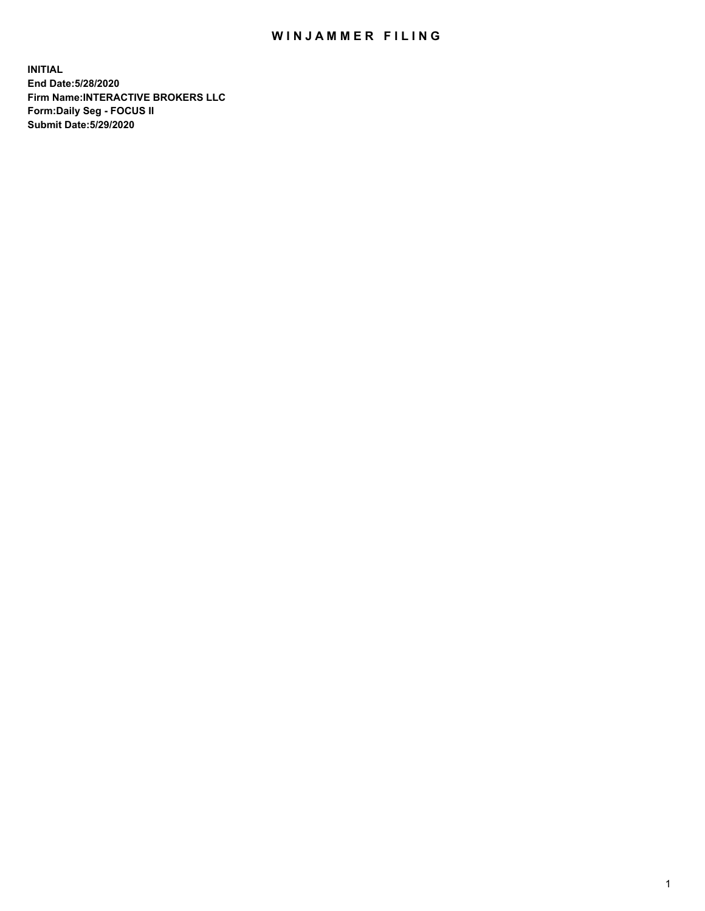## WIN JAMMER FILING

**INITIAL End Date:5/28/2020 Firm Name:INTERACTIVE BROKERS LLC Form:Daily Seg - FOCUS II Submit Date:5/29/2020**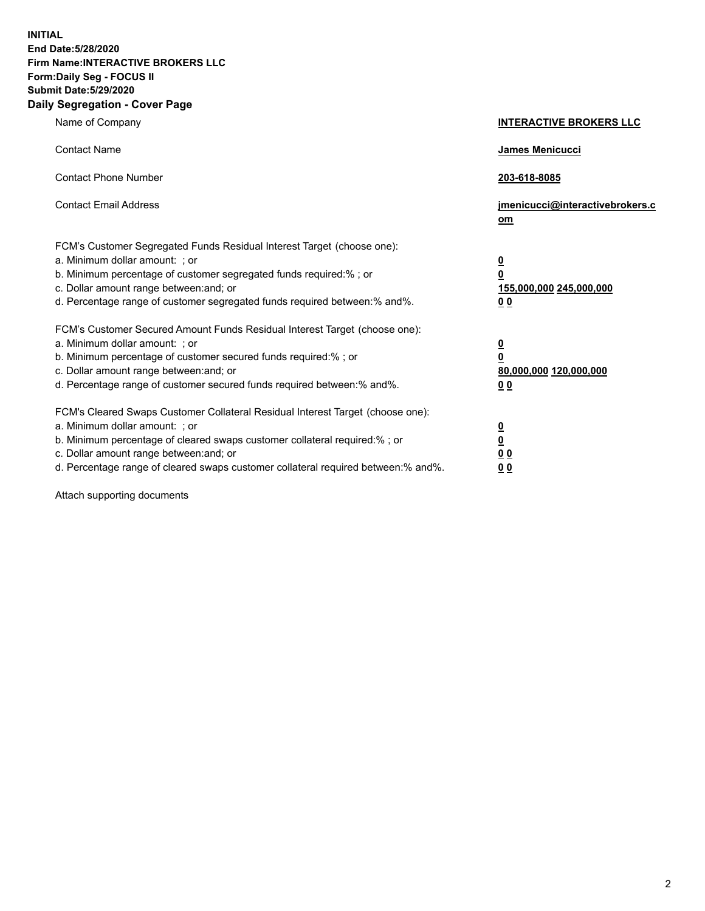**INITIAL End Date:5/28/2020 Firm Name:INTERACTIVE BROKERS LLC Form:Daily Seg - FOCUS II Submit Date:5/29/2020 Daily Segregation - Cover Page**

| Name of Company                                                                                                                                                                                                                                                                                                                | <b>INTERACTIVE BROKERS LLC</b>                                                                  |  |
|--------------------------------------------------------------------------------------------------------------------------------------------------------------------------------------------------------------------------------------------------------------------------------------------------------------------------------|-------------------------------------------------------------------------------------------------|--|
| <b>Contact Name</b>                                                                                                                                                                                                                                                                                                            | <b>James Menicucci</b>                                                                          |  |
| <b>Contact Phone Number</b>                                                                                                                                                                                                                                                                                                    | 203-618-8085                                                                                    |  |
| <b>Contact Email Address</b>                                                                                                                                                                                                                                                                                                   | jmenicucci@interactivebrokers.c<br>om                                                           |  |
| FCM's Customer Segregated Funds Residual Interest Target (choose one):<br>a. Minimum dollar amount: ; or<br>b. Minimum percentage of customer segregated funds required:%; or<br>c. Dollar amount range between: and; or<br>d. Percentage range of customer segregated funds required between:% and%.                          | $\overline{\mathbf{0}}$<br>$\overline{\mathbf{0}}$<br>155,000,000 245,000,000<br>0 <sub>0</sub> |  |
| FCM's Customer Secured Amount Funds Residual Interest Target (choose one):<br>a. Minimum dollar amount: ; or<br>b. Minimum percentage of customer secured funds required:%; or<br>c. Dollar amount range between: and; or<br>d. Percentage range of customer secured funds required between:% and%.                            | <u>0</u><br>$\overline{\mathbf{0}}$<br>80,000,000 120,000,000<br>0 <sub>0</sub>                 |  |
| FCM's Cleared Swaps Customer Collateral Residual Interest Target (choose one):<br>a. Minimum dollar amount: ; or<br>b. Minimum percentage of cleared swaps customer collateral required:% ; or<br>c. Dollar amount range between: and; or<br>d. Percentage range of cleared swaps customer collateral required between:% and%. | $\overline{\mathbf{0}}$<br>$\underline{\mathbf{0}}$<br>0 <sub>0</sub><br>00                     |  |

Attach supporting documents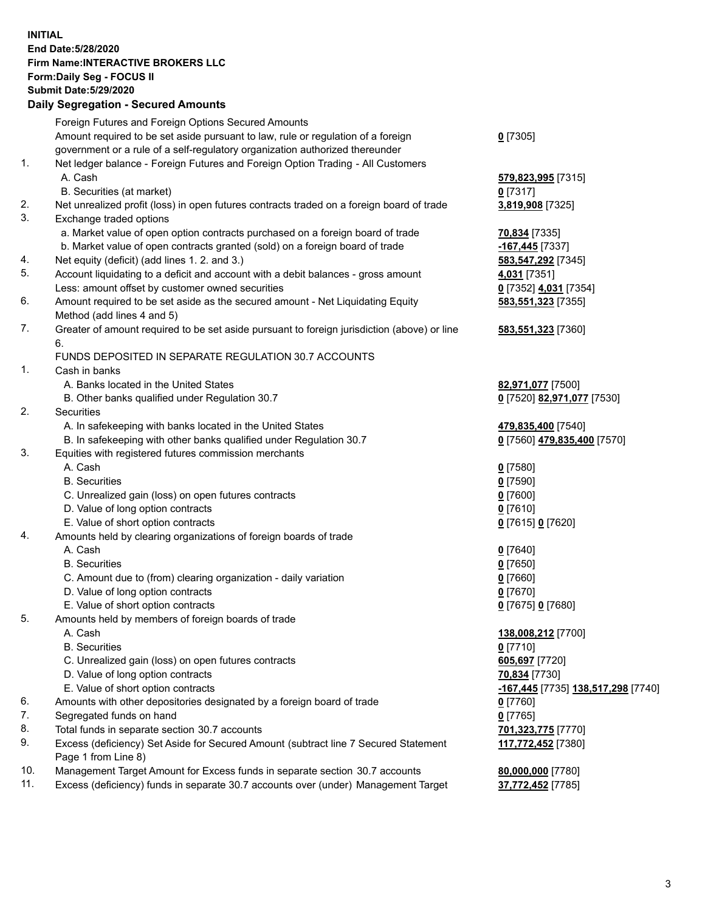**INITIAL End Date:5/28/2020 Firm Name:INTERACTIVE BROKERS LLC Form:Daily Seg - FOCUS II Submit Date:5/29/2020 Daily Segregation - Secured Amounts**

## Foreign Futures and Foreign Options Secured Amounts Amount required to be set aside pursuant to law, rule or regulation of a foreign government or a rule of a self-regulatory organization authorized thereunder **0** [7305] 1. Net ledger balance - Foreign Futures and Foreign Option Trading - All Customers A. Cash **579,823,995** [7315] B. Securities (at market) **0** [7317] 2. Net unrealized profit (loss) in open futures contracts traded on a foreign board of trade **3,819,908** [7325] 3. Exchange traded options a. Market value of open option contracts purchased on a foreign board of trade **70,834** [7335] b. Market value of open contracts granted (sold) on a foreign board of trade **-167,445** [7337] 4. Net equity (deficit) (add lines 1. 2. and 3.) **583,547,292** [7345] 5. Account liquidating to a deficit and account with a debit balances - gross amount **4,031** [7351] Less: amount offset by customer owned securities **0** [7352] **4,031** [7354] 6. Amount required to be set aside as the secured amount - Net Liquidating Equity Method (add lines 4 and 5) **583,551,323** [7355] 7. Greater of amount required to be set aside pursuant to foreign jurisdiction (above) or line 6. **583,551,323** [7360] FUNDS DEPOSITED IN SEPARATE REGULATION 30.7 ACCOUNTS 1. Cash in banks A. Banks located in the United States **82,971,077** [7500] B. Other banks qualified under Regulation 30.7 **0** [7520] **82,971,077** [7530] 2. Securities A. In safekeeping with banks located in the United States **479,835,400** [7540] B. In safekeeping with other banks qualified under Regulation 30.7 **0** [7560] **479,835,400** [7570] 3. Equities with registered futures commission merchants A. Cash **0** [7580] B. Securities **0** [7590] C. Unrealized gain (loss) on open futures contracts **0** [7600] D. Value of long option contracts **0** [7610] E. Value of short option contracts **0** [7615] **0** [7620] 4. Amounts held by clearing organizations of foreign boards of trade A. Cash **0** [7640] B. Securities **0** [7650] C. Amount due to (from) clearing organization - daily variation **0** [7660] D. Value of long option contracts **0** [7670] E. Value of short option contracts **0** [7675] **0** [7680] 5. Amounts held by members of foreign boards of trade A. Cash **138,008,212** [7700] B. Securities **0** [7710] C. Unrealized gain (loss) on open futures contracts **605,697** [7720] D. Value of long option contracts **70,834** [7730] E. Value of short option contracts **-167,445** [7735] **138,517,298** [7740] 6. Amounts with other depositories designated by a foreign board of trade **0** [7760] 7. Segregated funds on hand **0** [7765] 8. Total funds in separate section 30.7 accounts **701,323,775** [7770] 9. Excess (deficiency) Set Aside for Secured Amount (subtract line 7 Secured Statement Page 1 from Line 8) **117,772,452** [7380] 10. Management Target Amount for Excess funds in separate section 30.7 accounts **80,000,000** [7780] 11. Excess (deficiency) funds in separate 30.7 accounts over (under) Management Target **37,772,452** [7785]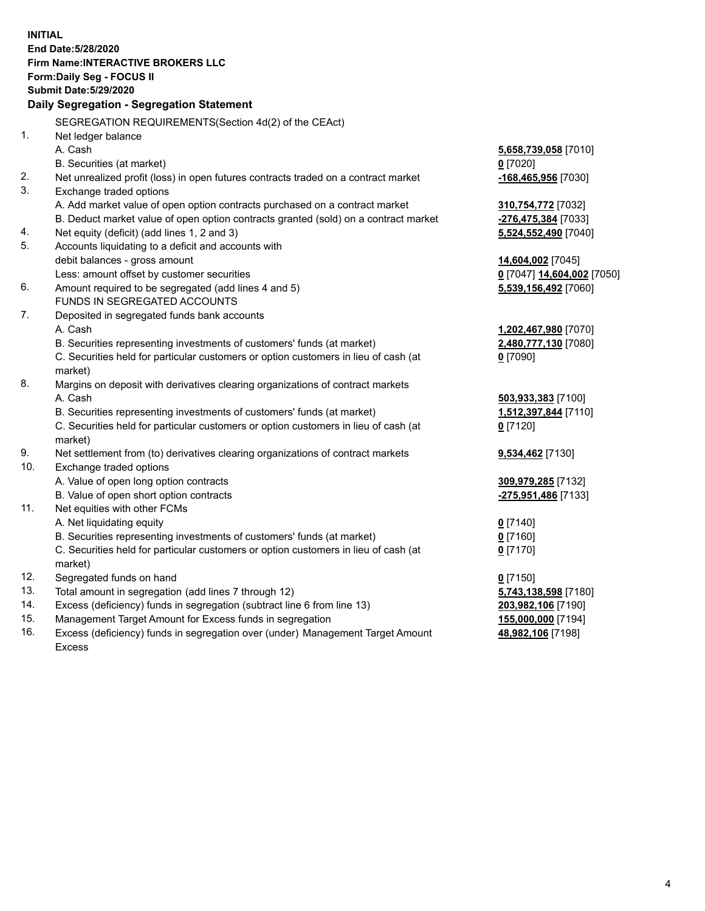**INITIAL End Date:5/28/2020 Firm Name:INTERACTIVE BROKERS LLC Form:Daily Seg - FOCUS II Submit Date:5/29/2020 Daily Segregation - Segregation Statement** SEGREGATION REQUIREMENTS(Section 4d(2) of the CEAct) 1. Net ledger balance A. Cash **5,658,739,058** [7010] B. Securities (at market) **0** [7020] 2. Net unrealized profit (loss) in open futures contracts traded on a contract market **-168,465,956** [7030] 3. Exchange traded options A. Add market value of open option contracts purchased on a contract market **310,754,772** [7032] B. Deduct market value of open option contracts granted (sold) on a contract market **-276,475,384** [7033] 4. Net equity (deficit) (add lines 1, 2 and 3) **5,524,552,490** [7040] 5. Accounts liquidating to a deficit and accounts with debit balances - gross amount **14,604,002** [7045] Less: amount offset by customer securities **0** [7047] **14,604,002** [7050] 6. Amount required to be segregated (add lines 4 and 5) **5,539,156,492** [7060] FUNDS IN SEGREGATED ACCOUNTS 7. Deposited in segregated funds bank accounts A. Cash **1,202,467,980** [7070] B. Securities representing investments of customers' funds (at market) **2,480,777,130** [7080] C. Securities held for particular customers or option customers in lieu of cash (at market) **0** [7090] 8. Margins on deposit with derivatives clearing organizations of contract markets A. Cash **503,933,383** [7100] B. Securities representing investments of customers' funds (at market) **1,512,397,844** [7110] C. Securities held for particular customers or option customers in lieu of cash (at market) **0** [7120] 9. Net settlement from (to) derivatives clearing organizations of contract markets **9,534,462** [7130] 10. Exchange traded options A. Value of open long option contracts **309,979,285** [7132] B. Value of open short option contracts **-275,951,486** [7133] 11. Net equities with other FCMs A. Net liquidating equity **0** [7140] B. Securities representing investments of customers' funds (at market) **0** [7160] C. Securities held for particular customers or option customers in lieu of cash (at market) **0** [7170] 12. Segregated funds on hand **0** [7150] 13. Total amount in segregation (add lines 7 through 12) **5,743,138,598** [7180] 14. Excess (deficiency) funds in segregation (subtract line 6 from line 13) **203,982,106** [7190] 15. Management Target Amount for Excess funds in segregation **155,000,000** [7194]

16. Excess (deficiency) funds in segregation over (under) Management Target Amount Excess

**48,982,106** [7198]